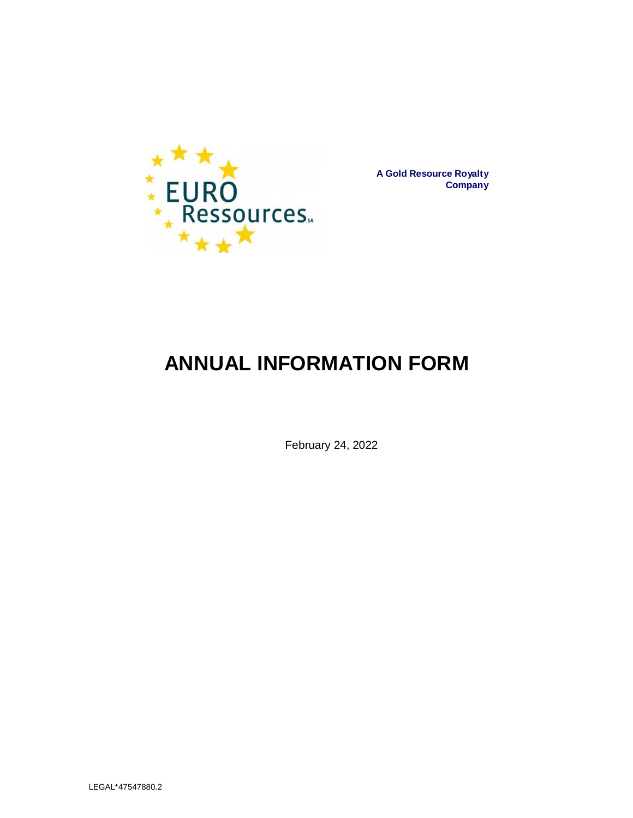

**A Gold Resource Royalty Company**

# **ANNUAL INFORMATION FORM**

February 24, 2022

LEGAL\*47547880.2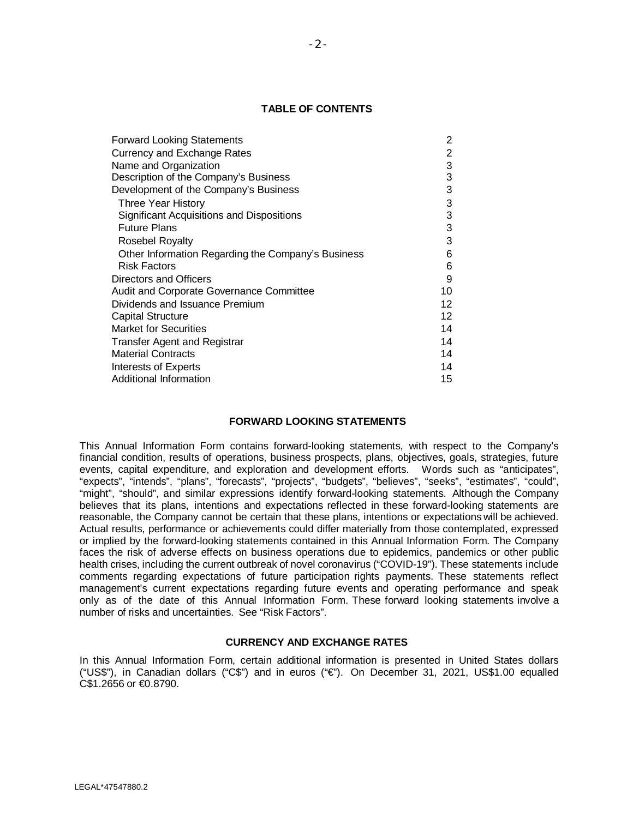# **TABLE OF CONTENTS**

| <b>Forward Looking Statements</b>                  | 2               |
|----------------------------------------------------|-----------------|
| <b>Currency and Exchange Rates</b>                 | 2               |
| Name and Organization                              | 3               |
| Description of the Company's Business              | 3               |
| Development of the Company's Business              | 3               |
| Three Year History                                 | 3               |
| Significant Acquisitions and Dispositions          | 3               |
| <b>Future Plans</b>                                | 3               |
| <b>Rosebel Royalty</b>                             | 3               |
| Other Information Regarding the Company's Business | 6               |
| Risk Factors                                       | 6               |
| Directors and Officers                             | 9               |
| <b>Audit and Corporate Governance Committee</b>    | 10              |
| Dividends and Issuance Premium                     | 12 <sup>°</sup> |
| <b>Capital Structure</b>                           | 12 <sup>°</sup> |
| <b>Market for Securities</b>                       | 14              |
| <b>Transfer Agent and Registrar</b>                | 14              |
| <b>Material Contracts</b>                          | 14              |
| Interests of Experts                               | 14              |
| Additional Information                             | 15              |

# **FORWARD LOOKING STATEMENTS**

This Annual Information Form contains forward-looking statements, with respect to the Company's financial condition, results of operations, business prospects, plans, objectives, goals, strategies, future events, capital expenditure, and exploration and development efforts. Words such as "anticipates", "expects", "intends", "plans", "forecasts", "projects", "budgets", "believes", "seeks", "estimates", "could", "might", "should", and similar expressions identify forward-looking statements. Although the Company believes that its plans, intentions and expectations reflected in these forward-looking statements are reasonable, the Company cannot be certain that these plans, intentions or expectations will be achieved. Actual results, performance or achievements could differ materially from those contemplated, expressed or implied by the forward-looking statements contained in this Annual Information Form. The Company faces the risk of adverse effects on business operations due to epidemics, pandemics or other public health crises, including the current outbreak of novel coronavirus ("COVID-19"). These statements include comments regarding expectations of future participation rights payments. These statements reflect management's current expectations regarding future events and operating performance and speak only as of the date of this Annual Information Form. These forward looking statements involve a number of risks and uncertainties. See "Risk Factors".

# **CURRENCY AND EXCHANGE RATES**

In this Annual Information Form, certain additional information is presented in United States dollars ("US\$"), in Canadian dollars ("C\$") and in euros ("€"). On December 31, 2021, US\$1.00 equalled C\$1.2656 or €0.8790.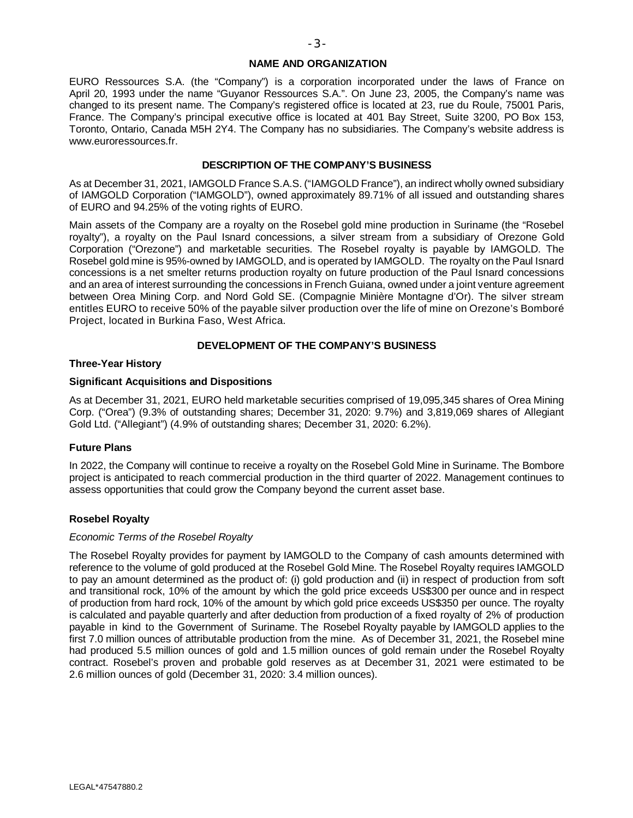#### **NAME AND ORGANIZATION**

EURO Ressources S.A. (the "Company") is a corporation incorporated under the laws of France on April 20, 1993 under the name "Guyanor Ressources S.A.". On June 23, 2005, the Company's name was changed to its present name. The Company's registered office is located at 23, rue du Roule, 75001 Paris, France. The Company's principal executive office is located at 401 Bay Street, Suite 3200, PO Box 153, Toronto, Ontario, Canada M5H 2Y4. The Company has no subsidiaries. The Company's website address is www.euroressources.fr.

# **DESCRIPTION OF THE COMPANY'S BUSINESS**

As at December 31, 2021, IAMGOLD France S.A.S. ("IAMGOLD France"), an indirect wholly owned subsidiary of IAMGOLD Corporation ("IAMGOLD"), owned approximately 89.71% of all issued and outstanding shares of EURO and 94.25% of the voting rights of EURO.

Main assets of the Company are a royalty on the Rosebel gold mine production in Suriname (the "Rosebel royalty"), a royalty on the Paul Isnard concessions, a silver stream from a subsidiary of Orezone Gold Corporation ("Orezone") and marketable securities. The Rosebel royalty is payable by IAMGOLD. The Rosebel gold mine is 95%-owned by IAMGOLD, and is operated by IAMGOLD. The royalty on the Paul Isnard concessions is a net smelter returns production royalty on future production of the Paul Isnard concessions and an area of interest surrounding the concessions in French Guiana, owned under a joint venture agreement between Orea Mining Corp. and Nord Gold SE. (Compagnie Minière Montagne d'Or). The silver stream entitles EURO to receive 50% of the payable silver production over the life of mine on Orezone's Bomboré Project, located in Burkina Faso, West Africa.

## **DEVELOPMENT OF THE COMPANY'S BUSINESS**

# **Three-Year History**

#### **Significant Acquisitions and Dispositions**

As at December 31, 2021, EURO held marketable securities comprised of 19,095,345 shares of Orea Mining Corp. ("Orea") (9.3% of outstanding shares; December 31, 2020: 9.7%) and 3,819,069 shares of Allegiant Gold Ltd. ("Allegiant") (4.9% of outstanding shares; December 31, 2020: 6.2%).

## **Future Plans**

In 2022, the Company will continue to receive a royalty on the Rosebel Gold Mine in Suriname. The Bombore project is anticipated to reach commercial production in the third quarter of 2022. Management continues to assess opportunities that could grow the Company beyond the current asset base.

## **Rosebel Royalty**

#### *Economic Terms of the Rosebel Royalty*

The Rosebel Royalty provides for payment by IAMGOLD to the Company of cash amounts determined with reference to the volume of gold produced at the Rosebel Gold Mine. The Rosebel Royalty requires IAMGOLD to pay an amount determined as the product of: (i) gold production and (ii) in respect of production from soft and transitional rock, 10% of the amount by which the gold price exceeds US\$300 per ounce and in respect of production from hard rock, 10% of the amount by which gold price exceeds US\$350 per ounce. The royalty is calculated and payable quarterly and after deduction from production of a fixed royalty of 2% of production payable in kind to the Government of Suriname. The Rosebel Royalty payable by IAMGOLD applies to the first 7.0 million ounces of attributable production from the mine. As of December 31, 2021, the Rosebel mine had produced 5.5 million ounces of gold and 1.5 million ounces of gold remain under the Rosebel Royalty contract. Rosebel's proven and probable gold reserves as at December 31, 2021 were estimated to be 2.6 million ounces of gold (December 31, 2020: 3.4 million ounces).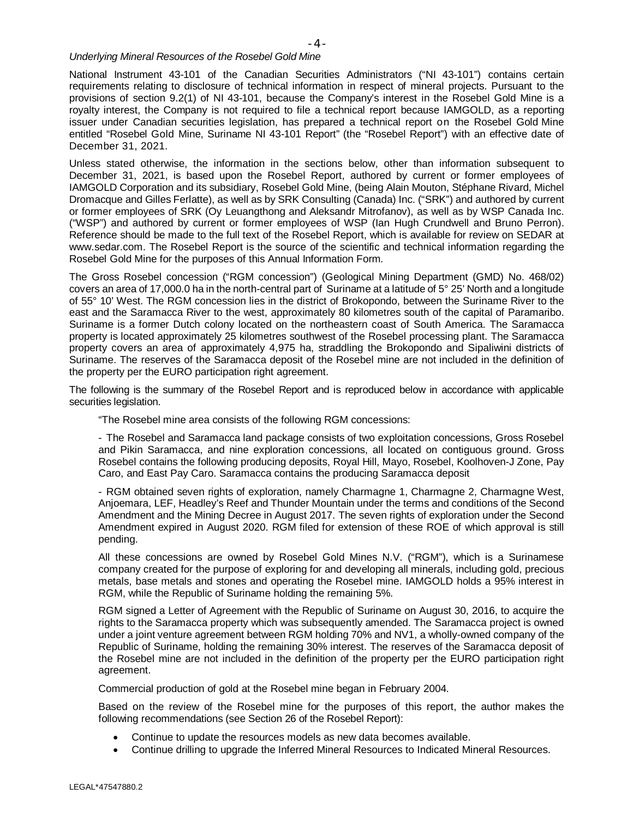## *Underlying Mineral Resources of the Rosebel Gold Mine*

National Instrument 43-101 of the Canadian Securities Administrators ("NI 43-101") contains certain requirements relating to disclosure of technical information in respect of mineral projects. Pursuant to the provisions of section 9.2(1) of NI 43-101, because the Company's interest in the Rosebel Gold Mine is a royalty interest, the Company is not required to file a technical report because IAMGOLD, as a reporting issuer under Canadian securities legislation, has prepared a technical report on the Rosebel Gold Mine entitled "Rosebel Gold Mine, Suriname NI 43-101 Report" (the "Rosebel Report") with an effective date of December 31, 2021.

Unless stated otherwise, the information in the sections below, other than information subsequent to December 31, 2021, is based upon the Rosebel Report, authored by current or former employees of IAMGOLD Corporation and its subsidiary, Rosebel Gold Mine, (being Alain Mouton, Stéphane Rivard, Michel Dromacque and Gilles Ferlatte), as well as by SRK Consulting (Canada) Inc. ("SRK") and authored by current or former employees of SRK (Oy Leuangthong and Aleksandr Mitrofanov), as well as by WSP Canada Inc. ("WSP") and authored by current or former employees of WSP (Ian Hugh Crundwell and Bruno Perron). [Reference shoul](http://www.sedar.com/)d be made to the full text of the Rosebel Report, which is available for review on SEDAR at www.sedar.com. The Rosebel Report is the source of the scientific and technical information regarding the Rosebel Gold Mine for the purposes of this Annual Information Form.

The Gross Rosebel concession ("RGM concession") (Geological Mining Department (GMD) No. 468/02) covers an area of 17,000.0 ha in the north-central part of Suriname at a latitude of 5° 25' North and a longitude of 55° 10' West. The RGM concession lies in the district of Brokopondo, between the Suriname River to the east and the Saramacca River to the west, approximately 80 kilometres south of the capital of Paramaribo. Suriname is a former Dutch colony located on the northeastern coast of South America. The Saramacca property is located approximately 25 kilometres southwest of the Rosebel processing plant. The Saramacca property covers an area of approximately 4,975 ha, straddling the Brokopondo and Sipaliwini districts of Suriname. The reserves of the Saramacca deposit of the Rosebel mine are not included in the definition of the property per the EURO participation right agreement.

The following is the summary of the Rosebel Report and is reproduced below in accordance with applicable securities legislation.

"The Rosebel mine area consists of the following RGM concessions:

- The Rosebel and Saramacca land package consists of two exploitation concessions, Gross Rosebel and Pikin Saramacca, and nine exploration concessions, all located on contiguous ground. Gross Rosebel contains the following producing deposits, Royal Hill, Mayo, Rosebel, Koolhoven-J Zone, Pay Caro, and East Pay Caro. Saramacca contains the producing Saramacca deposit

- RGM obtained seven rights of exploration, namely Charmagne 1, Charmagne 2, Charmagne West, Anjoemara, LEF, Headley's Reef and Thunder Mountain under the terms and conditions of the Second Amendment and the Mining Decree in August 2017. The seven rights of exploration under the Second Amendment expired in August 2020. RGM filed for extension of these ROE of which approval is still pending.

All these concessions are owned by Rosebel Gold Mines N.V. ("RGM"), which is a Surinamese company created for the purpose of exploring for and developing all minerals, including gold, precious metals, base metals and stones and operating the Rosebel mine. IAMGOLD holds a 95% interest in RGM, while the Republic of Suriname holding the remaining 5%.

RGM signed a Letter of Agreement with the Republic of Suriname on August 30, 2016, to acquire the rights to the Saramacca property which was subsequently amended. The Saramacca project is owned under a joint venture agreement between RGM holding 70% and NV1, a wholly-owned company of the Republic of Suriname, holding the remaining 30% interest. The reserves of the Saramacca deposit of the Rosebel mine are not included in the definition of the property per the EURO participation right agreement.

Commercial production of gold at the Rosebel mine began in February 2004.

Based on the review of the Rosebel mine for the purposes of this report, the author makes the following recommendations (see Section 26 of the Rosebel Report):

- · Continue to update the resources models as new data becomes available.
- · Continue drilling to upgrade the Inferred Mineral Resources to Indicated Mineral Resources.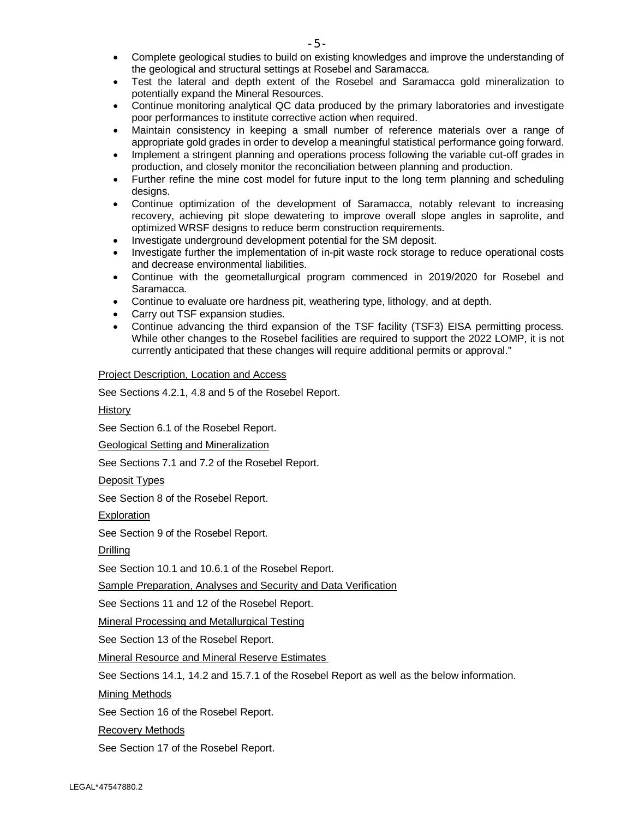- · Complete geological studies to build on existing knowledges and improve the understanding of the geological and structural settings at Rosebel and Saramacca.
- · Test the lateral and depth extent of the Rosebel and Saramacca gold mineralization to potentially expand the Mineral Resources.
- Continue monitoring analytical QC data produced by the primary laboratories and investigate poor performances to institute corrective action when required.
- · Maintain consistency in keeping a small number of reference materials over a range of appropriate gold grades in order to develop a meaningful statistical performance going forward.
- Implement a stringent planning and operations process following the variable cut-off grades in production, and closely monitor the reconciliation between planning and production.
- · Further refine the mine cost model for future input to the long term planning and scheduling designs.
- Continue optimization of the development of Saramacca, notably relevant to increasing recovery, achieving pit slope dewatering to improve overall slope angles in saprolite, and optimized WRSF designs to reduce berm construction requirements.
- Investigate underground development potential for the SM deposit.
- Investigate further the implementation of in-pit waste rock storage to reduce operational costs and decrease environmental liabilities.
- · Continue with the geometallurgical program commenced in 2019/2020 for Rosebel and Saramacca.
- · Continue to evaluate ore hardness pit, weathering type, lithology, and at depth.
- Carry out TSF expansion studies.
- Continue advancing the third expansion of the TSF facility (TSF3) EISA permitting process. While other changes to the Rosebel facilities are required to support the 2022 LOMP, it is not currently anticipated that these changes will require additional permits or approval."

# Project Description, Location and Access

See Sections 4.2.1, 4.8 and 5 of the Rosebel Report.

History

See Section 6.1 of the Rosebel Report.

Geological Setting and Mineralization

See Sections 7.1 and 7.2 of the Rosebel Report.

Deposit Types

See Section 8 of the Rosebel Report.

**Exploration** 

See Section 9 of the Rosebel Report.

Drilling

See Section 10.1 and 10.6.1 of the Rosebel Report.

Sample Preparation, Analyses and Security and Data Verification

See Sections 11 and 12 of the Rosebel Report.

Mineral Processing and Metallurgical Testing

See Section 13 of the Rosebel Report.

Mineral Resource and Mineral Reserve Estimates

See Sections 14.1, 14.2 and 15.7.1 of the Rosebel Report as well as the below information.

Mining Methods

See Section 16 of the Rosebel Report.

Recovery Methods

See Section 17 of the Rosebel Report.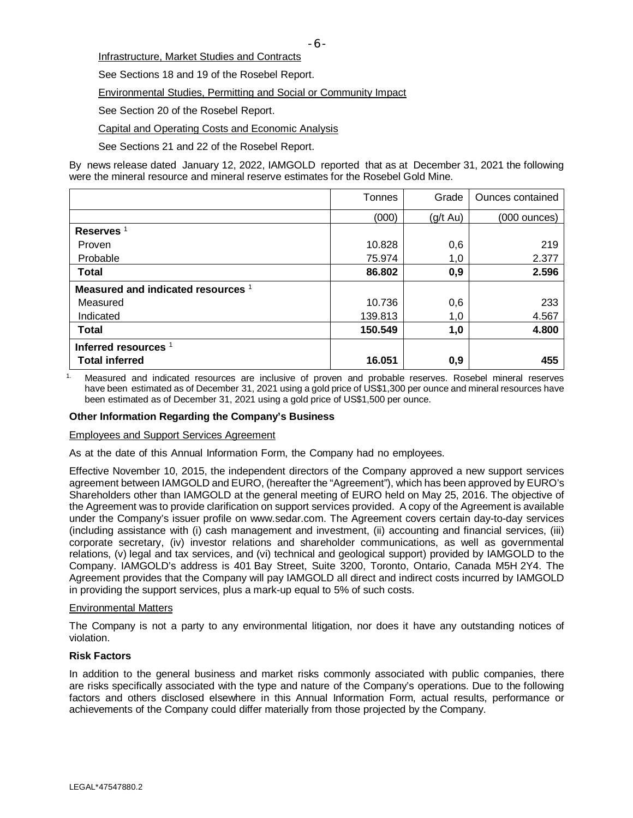Infrastructure, Market Studies and Contracts

See Sections 18 and 19 of the Rosebel Report.

Environmental Studies, Permitting and Social or Community Impact

See Section 20 of the Rosebel Report.

Capital and Operating Costs and Economic Analysis

See Sections 21 and 22 of the Rosebel Report.

By news release dated January 12, 2022, IAMGOLD reported that as at December 31, 2021 the following were the mineral resource and mineral reserve estimates for the Rosebel Gold Mine.

|                                    | Tonnes  | Grade    | Ounces contained |
|------------------------------------|---------|----------|------------------|
|                                    | (000)   | (g/t Au) | (000 ounces)     |
| Reserves <sup>1</sup>              |         |          |                  |
| Proven                             | 10.828  | 0,6      | 219              |
| Probable                           | 75.974  | 1,0      | 2.377            |
| <b>Total</b>                       | 86.802  | 0,9      | 2.596            |
| Measured and indicated resources 1 |         |          |                  |
| Measured                           | 10.736  | 0,6      | 233              |
| Indicated                          | 139.813 | 1,0      | 4.567            |
| <b>Total</b>                       | 150.549 | 1,0      | 4.800            |
| Inferred resources <sup>1</sup>    |         |          |                  |
| <b>Total inferred</b>              | 16.051  | 0,9      | 455              |

1. Measured and indicated resources are inclusive of proven and probable reserves. Rosebel mineral reserves have been estimated as of December 31, 2021 using a gold price of US\$1,300 per ounce and mineral resources have been estimated as of December 31, 2021 using a gold price of US\$1,500 per ounce.

## **Other Information Regarding the Company's Business**

#### Employees and Support Services Agreement

As at the date of this Annual Information Form, the Company had no employees.

Effective November 10, 2015, the independent directors of the Company approved a new support services agreement between IAMGOLD and EURO, (hereafter the "Agreement"), which has been approved by EURO's Shareholders other than IAMGOLD at the general meeting of EURO held on May 25, 2016. The objective of the Agreement was to provide clarificati[on on support ser](http://www.sedar.com/)vices provided. A copy of the Agreement is available under the Company's issuer profile on www.sedar.com. The Agreement covers certain day-to-day services (including assistance with (i) cash management and investment, (ii) accounting and financial services, (iii) corporate secretary, (iv) investor relations and shareholder communications, as well as governmental relations, (v) legal and tax services, and (vi) technical and geological support) provided by IAMGOLD to the Company. IAMGOLD's address is 401 Bay Street, Suite 3200, Toronto, Ontario, Canada M5H 2Y4. The Agreement provides that the Company will pay IAMGOLD all direct and indirect costs incurred by IAMGOLD in providing the support services, plus a mark-up equal to 5% of such costs.

#### Environmental Matters

The Company is not a party to any environmental litigation, nor does it have any outstanding notices of violation.

## **Risk Factors**

In addition to the general business and market risks commonly associated with public companies, there are risks specifically associated with the type and nature of the Company's operations. Due to the following factors and others disclosed elsewhere in this Annual Information Form, actual results, performance or achievements of the Company could differ materially from those projected by the Company.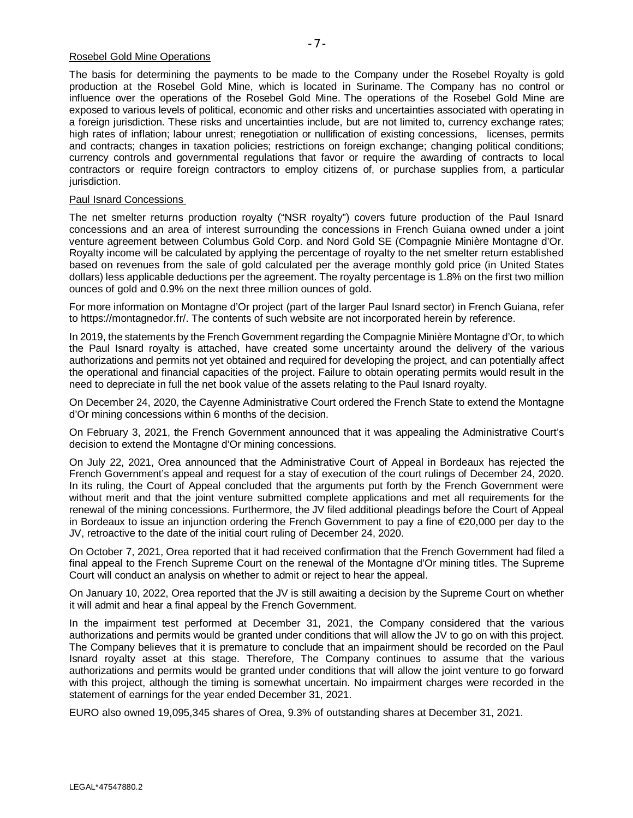#### Rosebel Gold Mine Operations

The basis for determining the payments to be made to the Company under the Rosebel Royalty is gold production at the Rosebel Gold Mine, which is located in Suriname. The Company has no control or influence over the operations of the Rosebel Gold Mine. The operations of the Rosebel Gold Mine are exposed to various levels of political, economic and other risks and uncertainties associated with operating in a foreign jurisdiction. These risks and uncertainties include, but are not limited to, currency exchange rates; high rates of inflation; labour unrest; renegotiation or nullification of existing concessions, licenses, permits and contracts; changes in taxation policies; restrictions on foreign exchange; changing political conditions; currency controls and governmental regulations that favor or require the awarding of contracts to local contractors or require foreign contractors to employ citizens of, or purchase supplies from, a particular jurisdiction.

#### Paul Isnard Concessions

The net smelter returns production royalty ("NSR royalty") covers future production of the Paul Isnard concessions and an area of interest surrounding the concessions in French Guiana owned under a joint venture agreement between Columbus Gold Corp. and Nord Gold SE (Compagnie Minière Montagne d'Or. Royalty income will be calculated by applying the percentage of royalty to the net smelter return established based on revenues from the sale of gold calculated per the average monthly gold price (in United States dollars) less applicable deductions per the agreement. The royalty percentage is 1.8% on the first two million ounces of gold and 0.9% on the next three million ounces of gold.

For more information on Montagne d'Or project (part of the larger Paul Isnard sector) in French Guiana, refer to https://montagnedor.fr/. The contents of such website are not incorporated herein by reference.

In 2019, the statements by the French Government regarding the Compagnie Minière Montagne d'Or, to which the Paul Isnard royalty is attached, have created some uncertainty around the delivery of the various authorizations and permits not yet obtained and required for developing the project, and can potentially affect the operational and financial capacities of the project. Failure to obtain operating permits would result in the need to depreciate in full the net book value of the assets relating to the Paul Isnard royalty.

On December 24, 2020, the Cayenne Administrative Court ordered the French State to extend the Montagne d'Or mining concessions within 6 months of the decision.

On February 3, 2021, the French Government announced that it was appealing the Administrative Court's decision to extend the Montagne d'Or mining concessions.

On July 22, 2021, Orea announced that the Administrative Court of Appeal in Bordeaux has rejected the French Government's appeal and request for a stay of execution of the court rulings of December 24, 2020. In its ruling, the Court of Appeal concluded that the arguments put forth by the French Government were without merit and that the joint venture submitted complete applications and met all requirements for the renewal of the mining concessions. Furthermore, the JV filed additional pleadings before the Court of Appeal in Bordeaux to issue an injunction ordering the French Government to pay a fine of €20,000 per day to the JV, retroactive to the date of the initial court ruling of December 24, 2020.

On October 7, 2021, Orea reported that it had received confirmation that the French Government had filed a final appeal to the French Supreme Court on the renewal of the Montagne d'Or mining titles. The Supreme Court will conduct an analysis on whether to admit or reject to hear the appeal.

On January 10, 2022, Orea reported that the JV is still awaiting a decision by the Supreme Court on whether it will admit and hear a final appeal by the French Government.

In the impairment test performed at December 31, 2021, the Company considered that the various authorizations and permits would be granted under conditions that will allow the JV to go on with this project. The Company believes that it is premature to conclude that an impairment should be recorded on the Paul Isnard royalty asset at this stage. Therefore, The Company continues to assume that the various authorizations and permits would be granted under conditions that will allow the joint venture to go forward with this project, although the timing is somewhat uncertain. No impairment charges were recorded in the statement of earnings for the year ended December 31, 2021.

EURO also owned 19,095,345 shares of Orea, 9.3% of outstanding shares at December 31, 2021.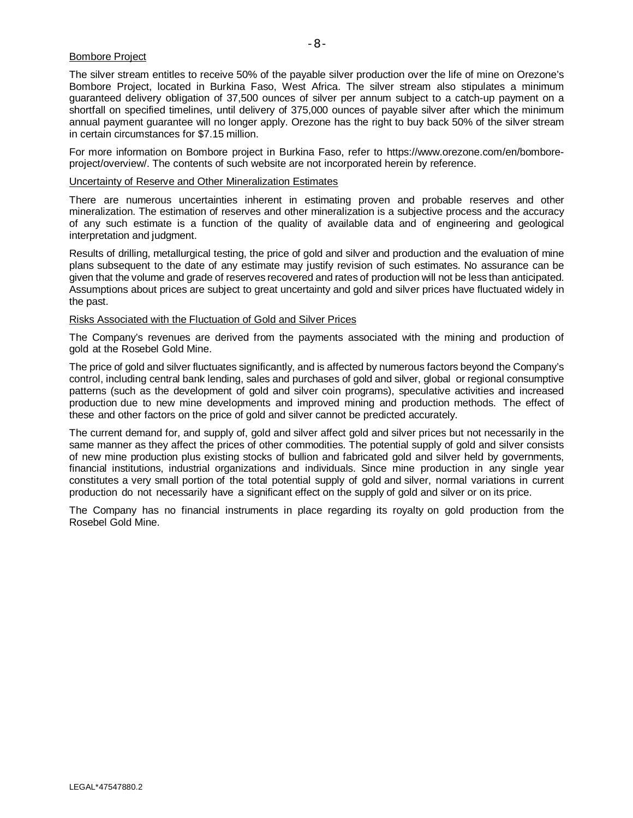#### Bombore Project

The silver stream entitles to receive 50% of the payable silver production over the life of mine on Orezone's Bombore Project, located in Burkina Faso, West Africa. The silver stream also stipulates a minimum guaranteed delivery obligation of 37,500 ounces of silver per annum subject to a catch-up payment on a shortfall on specified timelines, until delivery of 375,000 ounces of payable silver after which the minimum annual payment guarantee will no longer apply. Orezone has the right to buy back 50% of the silver stream in certain circumstances for \$7.15 million.

For more information on Bombore project in Burkina Faso, refer to https://www.orezone.com/en/bomboreproject/overview/. The contents of such website are not incorporated herein by reference.

Uncertainty of Reserve and Other Mineralization Estimates

There are numerous uncertainties inherent in estimating proven and probable reserves and other mineralization. The estimation of reserves and other mineralization is a subjective process and the accuracy of any such estimate is a function of the quality of available data and of engineering and geological interpretation and judgment.

Results of drilling, metallurgical testing, the price of gold and silver and production and the evaluation of mine plans subsequent to the date of any estimate may justify revision of such estimates. No assurance can be given that the volume and grade of reserves recovered and rates of production will not be less than anticipated. Assumptions about prices are subject to great uncertainty and gold and silver prices have fluctuated widely in the past.

#### Risks Associated with the Fluctuation of Gold and Silver Prices

The Company's revenues are derived from the payments associated with the mining and production of gold at the Rosebel Gold Mine.

The price of gold and silver fluctuates significantly, and is affected by numerous factors beyond the Company's control, including central bank lending, sales and purchases of gold and silver, global or regional consumptive patterns (such as the development of gold and silver coin programs), speculative activities and increased production due to new mine developments and improved mining and production methods. The effect of these and other factors on the price of gold and silver cannot be predicted accurately.

The current demand for, and supply of, gold and silver affect gold and silver prices but not necessarily in the same manner as they affect the prices of other commodities. The potential supply of gold and silver consists of new mine production plus existing stocks of bullion and fabricated gold and silver held by governments, financial institutions, industrial organizations and individuals. Since mine production in any single year constitutes a very small portion of the total potential supply of gold and silver, normal variations in current production do not necessarily have a significant effect on the supply of gold and silver or on its price.

The Company has no financial instruments in place regarding its royalty on gold production from the Rosebel Gold Mine.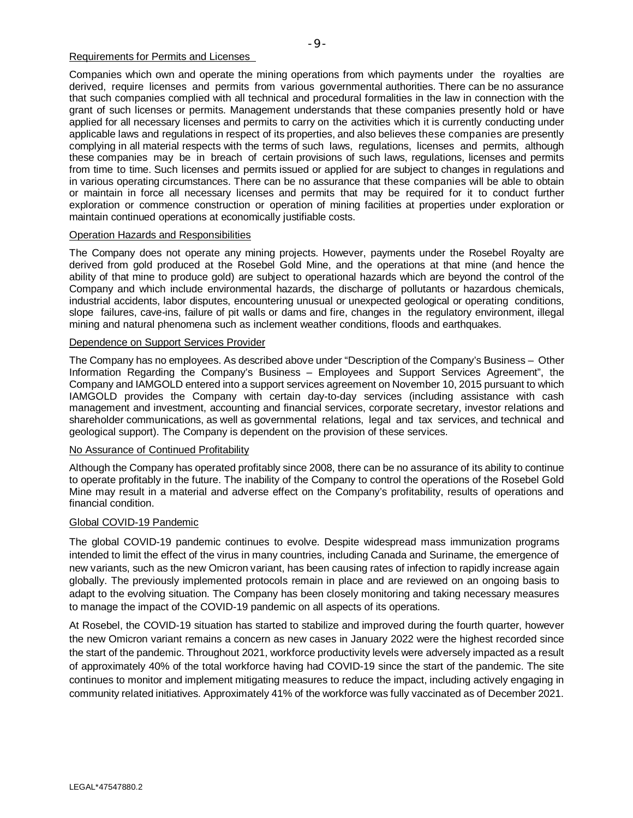#### Requirements for Permits and Licenses

Companies which own and operate the mining operations from which payments under the royalties are derived, require licenses and permits from various governmental authorities. There can be no assurance that such companies complied with all technical and procedural formalities in the law in connection with the grant of such licenses or permits. Management understands that these companies presently hold or have applied for all necessary licenses and permits to carry on the activities which it is currently conducting under

applicable laws and regulations in respect of its properties, and also believes these companies are presently complying in all material respects with the terms of such laws, regulations, licenses and permits, although these companies may be in breach of certain provisions of such laws, regulations, licenses and permits from time to time. Such licenses and permits issued or applied for are subject to changes in regulations and in various operating circumstances. There can be no assurance that these companies will be able to obtain or maintain in force all necessary licenses and permits that may be required for it to conduct further exploration or commence construction or operation of mining facilities at properties under exploration or maintain continued operations at economically justifiable costs.

## Operation Hazards and Responsibilities

The Company does not operate any mining projects. However, payments under the Rosebel Royalty are derived from gold produced at the Rosebel Gold Mine, and the operations at that mine (and hence the ability of that mine to produce gold) are subject to operational hazards which are beyond the control of the Company and which include environmental hazards, the discharge of pollutants or hazardous chemicals, industrial accidents, labor disputes, encountering unusual or unexpected geological or operating conditions, slope failures, cave-ins, failure of pit walls or dams and fire, changes in the regulatory environment, illegal mining and natural phenomena such as inclement weather conditions, floods and earthquakes.

## Dependence on Support Services Provider

The Company has no employees. As described above under "Description of the Company's Business – Other Information Regarding the Company's Business – Employees and Support Services Agreement", the Company and IAMGOLD entered into a support services agreement on November 10, 2015 pursuant to which IAMGOLD provides the Company with certain day-to-day services (including assistance with cash management and investment, accounting and financial services, corporate secretary, investor relations and shareholder communications, as well as governmental relations, legal and tax services, and technical and geological support). The Company is dependent on the provision of these services.

## No Assurance of Continued Profitability

Although the Company has operated profitably since 2008, there can be no assurance of its ability to continue to operate profitably in the future. The inability of the Company to control the operations of the Rosebel Gold Mine may result in a material and adverse effect on the Company's profitability, results of operations and financial condition.

## Global COVID-19 Pandemic

The global COVID-19 pandemic continues to evolve. Despite widespread mass immunization programs intended to limit the effect of the virus in many countries, including Canada and Suriname, the emergence of new variants, such as the new Omicron variant, has been causing rates of infection to rapidly increase again globally. The previously implemented protocols remain in place and are reviewed on an ongoing basis to adapt to the evolving situation. The Company has been closely monitoring and taking necessary measures to manage the impact of the COVID-19 pandemic on all aspects of its operations.

At Rosebel, the COVID-19 situation has started to stabilize and improved during the fourth quarter, however the new Omicron variant remains a concern as new cases in January 2022 were the highest recorded since the start of the pandemic. Throughout 2021, workforce productivity levels were adversely impacted as a result of approximately 40% of the total workforce having had COVID-19 since the start of the pandemic. The site continues to monitor and implement mitigating measures to reduce the impact, including actively engaging in community related initiatives. Approximately 41% of the workforce was fully vaccinated as of December 2021.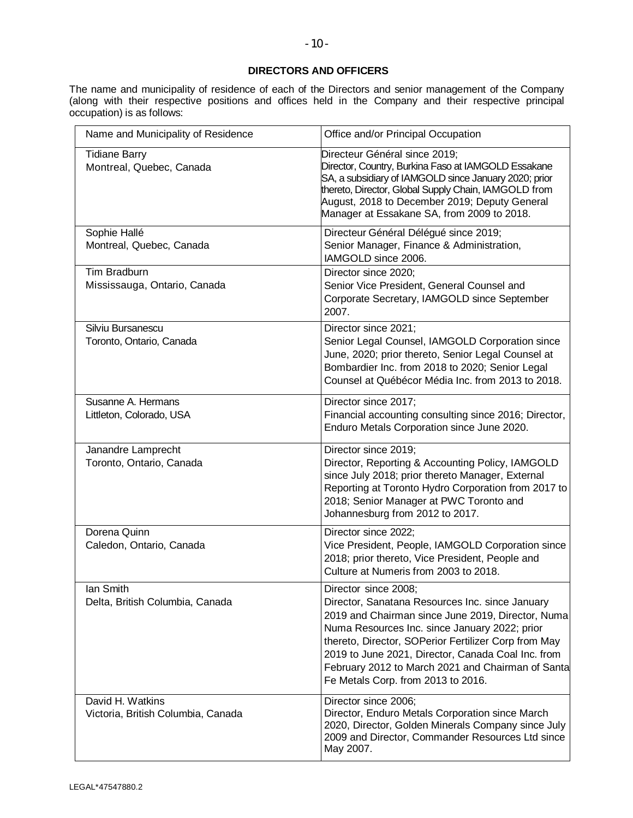# **DIRECTORS AND OFFICERS**

The name and municipality of residence of each of the Directors and senior management of the Company (along with their respective positions and offices held in the Company and their respective principal occupation) is as follows:

| Name and Municipality of Residence                     | Office and/or Principal Occupation                                                                                                                                                                                                                                                                                                                                                     |
|--------------------------------------------------------|----------------------------------------------------------------------------------------------------------------------------------------------------------------------------------------------------------------------------------------------------------------------------------------------------------------------------------------------------------------------------------------|
| <b>Tidiane Barry</b><br>Montreal, Quebec, Canada       | Directeur Général since 2019;<br>Director, Country, Burkina Faso at IAMGOLD Essakane<br>SA, a subsidiary of IAMGOLD since January 2020; prior<br>thereto, Director, Global Supply Chain, IAMGOLD from<br>August, 2018 to December 2019; Deputy General<br>Manager at Essakane SA, from 2009 to 2018.                                                                                   |
| Sophie Hallé<br>Montreal, Quebec, Canada               | Directeur Général Délégué since 2019;<br>Senior Manager, Finance & Administration,<br>IAMGOLD since 2006.                                                                                                                                                                                                                                                                              |
| Tim Bradburn<br>Mississauga, Ontario, Canada           | Director since 2020;<br>Senior Vice President, General Counsel and<br>Corporate Secretary, IAMGOLD since September<br>2007.                                                                                                                                                                                                                                                            |
| Silviu Bursanescu<br>Toronto, Ontario, Canada          | Director since 2021;<br>Senior Legal Counsel, IAMGOLD Corporation since<br>June, 2020; prior thereto, Senior Legal Counsel at<br>Bombardier Inc. from 2018 to 2020; Senior Legal<br>Counsel at Québécor Média Inc. from 2013 to 2018.                                                                                                                                                  |
| Susanne A. Hermans<br>Littleton, Colorado, USA         | Director since 2017;<br>Financial accounting consulting since 2016; Director,<br>Enduro Metals Corporation since June 2020.                                                                                                                                                                                                                                                            |
| Janandre Lamprecht<br>Toronto, Ontario, Canada         | Director since 2019;<br>Director, Reporting & Accounting Policy, IAMGOLD<br>since July 2018; prior thereto Manager, External<br>Reporting at Toronto Hydro Corporation from 2017 to<br>2018; Senior Manager at PWC Toronto and<br>Johannesburg from 2012 to 2017.                                                                                                                      |
| Dorena Quinn<br>Caledon, Ontario, Canada               | Director since 2022;<br>Vice President, People, IAMGOLD Corporation since<br>2018; prior thereto, Vice President, People and<br>Culture at Numeris from 2003 to 2018.                                                                                                                                                                                                                  |
| lan Smith<br>Delta, British Columbia, Canada           | Director since 2008;<br>Director, Sanatana Resources Inc. since January<br>2019 and Chairman since June 2019, Director, Numa<br>Numa Resources Inc. since January 2022; prior<br>thereto, Director, SOPerior Fertilizer Corp from May<br>2019 to June 2021, Director, Canada Coal Inc. from<br>February 2012 to March 2021 and Chairman of Santa<br>Fe Metals Corp. from 2013 to 2016. |
| David H. Watkins<br>Victoria, British Columbia, Canada | Director since 2006;<br>Director, Enduro Metals Corporation since March<br>2020, Director, Golden Minerals Company since July<br>2009 and Director, Commander Resources Ltd since<br>May 2007.                                                                                                                                                                                         |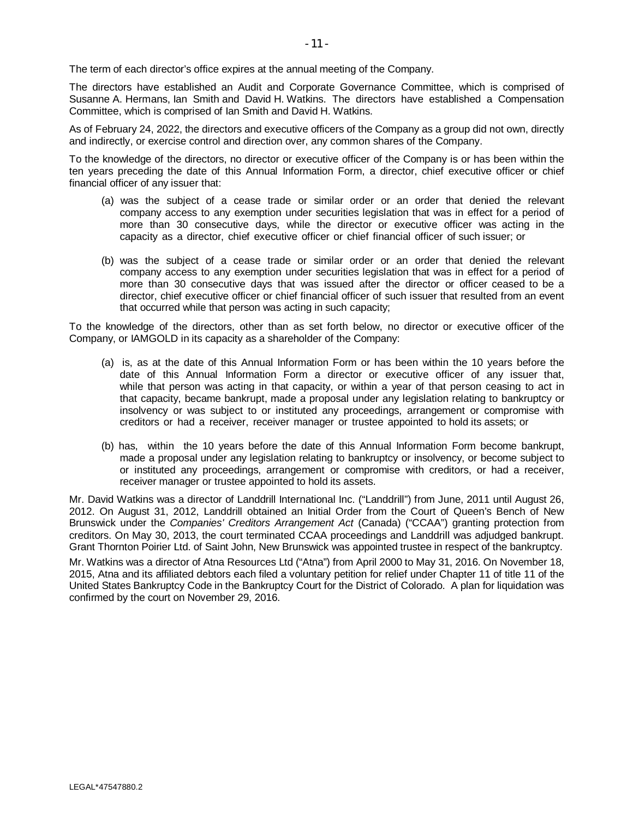The term of each director's office expires at the annual meeting of the Company.

The directors have established an Audit and Corporate Governance Committee, which is comprised of Susanne A. Hermans, Ian Smith and David H. Watkins. The directors have established a Compensation Committee, which is comprised of Ian Smith and David H. Watkins.

As of February 24, 2022, the directors and executive officers of the Company as a group did not own, directly and indirectly, or exercise control and direction over, any common shares of the Company.

To the knowledge of the directors, no director or executive officer of the Company is or has been within the ten years preceding the date of this Annual Information Form, a director, chief executive officer or chief financial officer of any issuer that:

- (a) was the subject of a cease trade or similar order or an order that denied the relevant company access to any exemption under securities legislation that was in effect for a period of more than 30 consecutive days, while the director or executive officer was acting in the capacity as a director, chief executive officer or chief financial officer of such issuer; or
- (b) was the subject of a cease trade or similar order or an order that denied the relevant company access to any exemption under securities legislation that was in effect for a period of more than 30 consecutive days that was issued after the director or officer ceased to be a director, chief executive officer or chief financial officer of such issuer that resulted from an event that occurred while that person was acting in such capacity;

To the knowledge of the directors, other than as set forth below, no director or executive officer of the Company, or IAMGOLD in its capacity as a shareholder of the Company:

- (a) is, as at the date of this Annual Information Form or has been within the 10 years before the date of this Annual Information Form a director or executive officer of any issuer that, while that person was acting in that capacity, or within a year of that person ceasing to act in that capacity, became bankrupt, made a proposal under any legislation relating to bankruptcy or insolvency or was subject to or instituted any proceedings, arrangement or compromise with creditors or had a receiver, receiver manager or trustee appointed to hold its assets; or
- (b) has, within the 10 years before the date of this Annual Information Form become bankrupt, made a proposal under any legislation relating to bankruptcy or insolvency, or become subject to or instituted any proceedings, arrangement or compromise with creditors, or had a receiver, receiver manager or trustee appointed to hold its assets.

Mr. David Watkins was a director of Landdrill International Inc. ("Landdrill") from June, 2011 until August 26, 2012. On August 31, 2012, Landdrill obtained an Initial Order from the Court of Queen's Bench of New Brunswick under the *Companies' Creditors Arrangement Act* (Canada) ("CCAA") granting protection from creditors. On May 30, 2013, the court terminated CCAA proceedings and Landdrill was adjudged bankrupt. Grant Thornton Poirier Ltd. of Saint John, New Brunswick was appointed trustee in respect of the bankruptcy.

Mr. Watkins was a director of Atna Resources Ltd ("Atna") from April 2000 to May 31, 2016. On November 18, 2015, Atna and its affiliated debtors each filed a voluntary petition for relief under Chapter 11 of title 11 of the United States Bankruptcy Code in the Bankruptcy Court for the District of Colorado. A plan for liquidation was confirmed by the court on November 29, 2016.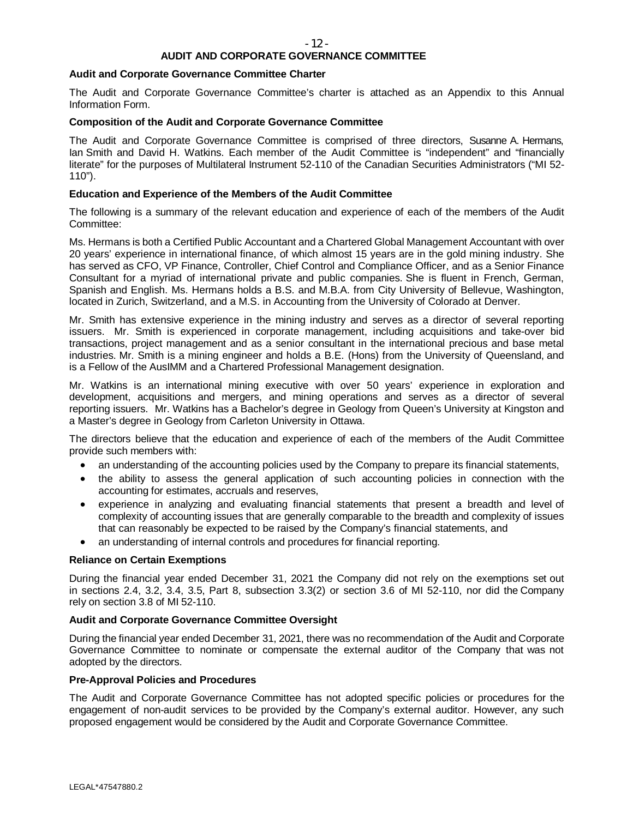# **AUDIT AND CORPORATE GOVERNANCE COMMITTEE**

#### **Audit and Corporate Governance Committee Charter**

The Audit and Corporate Governance Committee's charter is attached as an Appendix to this Annual Information Form.

#### **Composition of the Audit and Corporate Governance Committee**

The Audit and Corporate Governance Committee is comprised of three directors, Susanne A. Hermans, Ian Smith and David H. Watkins. Each member of the Audit Committee is "independent" and "financially literate" for the purposes of Multilateral Instrument 52-110 of the Canadian Securities Administrators ("MI 52- 110").

## **Education and Experience of the Members of the Audit Committee**

The following is a summary of the relevant education and experience of each of the members of the Audit Committee:

Ms. Hermans is both a Certified Public Accountant and a Chartered Global Management Accountant with over 20 years' experience in international finance, of which almost 15 years are in the gold mining industry. She has served as CFO, VP Finance, Controller, Chief Control and Compliance Officer, and as a Senior Finance Consultant for a myriad of international private and public companies. She is fluent in French, German, Spanish and English. Ms. Hermans holds a B.S. and M.B.A. from City University of Bellevue, Washington, located in Zurich, Switzerland, and a M.S. in Accounting from the University of Colorado at Denver.

Mr. Smith has extensive experience in the mining industry and serves as a director of several reporting issuers. Mr. Smith is experienced in corporate management, including acquisitions and take-over bid transactions, project management and as a senior consultant in the international precious and base metal industries. Mr. Smith is a mining engineer and holds a B.E. (Hons) from the University of Queensland, and is a Fellow of the AusIMM and a Chartered Professional Management designation.

Mr. Watkins is an international mining executive with over 50 years' experience in exploration and development, acquisitions and mergers, and mining operations and serves as a director of several reporting issuers. Mr. Watkins has a Bachelor's degree in Geology from Queen's University at Kingston and a Master's degree in Geology from Carleton University in Ottawa.

The directors believe that the education and experience of each of the members of the Audit Committee provide such members with:

- · an understanding of the accounting policies used by the Company to prepare its financial statements,
- the ability to assess the general application of such accounting policies in connection with the accounting for estimates, accruals and reserves,
- · experience in analyzing and evaluating financial statements that present a breadth and level of complexity of accounting issues that are generally comparable to the breadth and complexity of issues that can reasonably be expected to be raised by the Company's financial statements, and
- an understanding of internal controls and procedures for financial reporting.

## **Reliance on Certain Exemptions**

During the financial year ended December 31, 2021 the Company did not rely on the exemptions set out in sections 2.4, 3.2, 3.4, 3.5, Part 8, subsection 3.3(2) or section 3.6 of MI 52-110, nor did the Company rely on section 3.8 of MI 52-110.

# **Audit and Corporate Governance Committee Oversight**

During the financial year ended December 31, 2021, there was no recommendation of the Audit and Corporate Governance Committee to nominate or compensate the external auditor of the Company that was not adopted by the directors.

## **Pre-Approval Policies and Procedures**

The Audit and Corporate Governance Committee has not adopted specific policies or procedures for the engagement of non-audit services to be provided by the Company's external auditor. However, any such proposed engagement would be considered by the Audit and Corporate Governance Committee.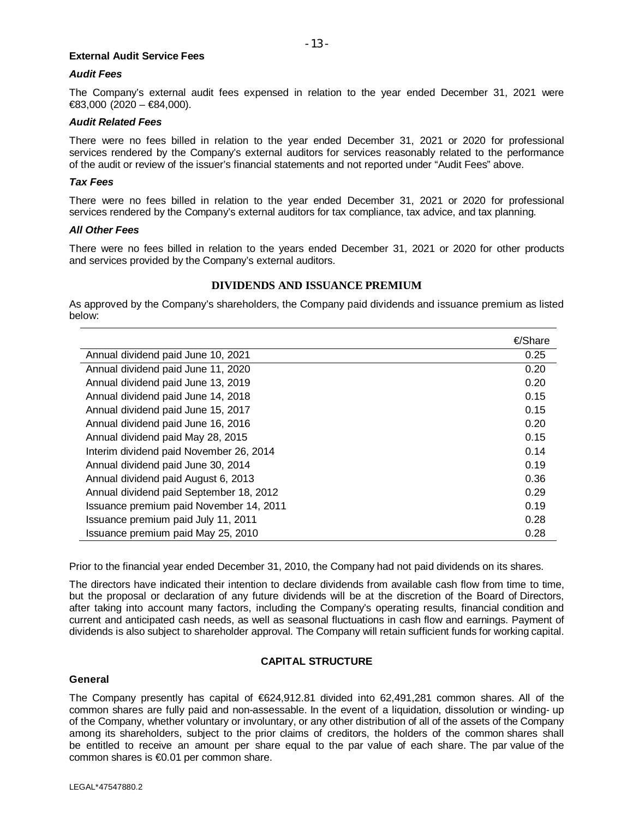#### **External Audit Service Fees**

#### *Audit Fees*

The Company's external audit fees expensed in relation to the year ended December 31, 2021 were €83,000 (2020 – €84,000).

#### *Audit Related Fees*

There were no fees billed in relation to the year ended December 31, 2021 or 2020 for professional services rendered by the Company's external auditors for services reasonably related to the performance of the audit or review of the issuer's financial statements and not reported under "Audit Fees" above.

#### *Tax Fees*

There were no fees billed in relation to the year ended December 31, 2021 or 2020 for professional services rendered by the Company's external auditors for tax compliance, tax advice, and tax planning.

#### *All Other Fees*

There were no fees billed in relation to the years ended December 31, 2021 or 2020 for other products and services provided by the Company's external auditors.

# **DIVIDENDS AND ISSUANCE PREMIUM**

As approved by the Company's shareholders, the Company paid dividends and issuance premium as listed below:

|                                         | €/Share |
|-----------------------------------------|---------|
| Annual dividend paid June 10, 2021      | 0.25    |
| Annual dividend paid June 11, 2020      | 0.20    |
| Annual dividend paid June 13, 2019      | 0.20    |
| Annual dividend paid June 14, 2018      | 0.15    |
| Annual dividend paid June 15, 2017      | 0.15    |
| Annual dividend paid June 16, 2016      | 0.20    |
| Annual dividend paid May 28, 2015       | 0.15    |
| Interim dividend paid November 26, 2014 | 0.14    |
| Annual dividend paid June 30, 2014      | 0.19    |
| Annual dividend paid August 6, 2013     | 0.36    |
| Annual dividend paid September 18, 2012 | 0.29    |
| Issuance premium paid November 14, 2011 | 0.19    |
| Issuance premium paid July 11, 2011     | 0.28    |
| Issuance premium paid May 25, 2010      | 0.28    |

Prior to the financial year ended December 31, 2010, the Company had not paid dividends on its shares.

The directors have indicated their intention to declare dividends from available cash flow from time to time, but the proposal or declaration of any future dividends will be at the discretion of the Board of Directors, after taking into account many factors, including the Company's operating results, financial condition and current and anticipated cash needs, as well as seasonal fluctuations in cash flow and earnings. Payment of dividends is also subject to shareholder approval. The Company will retain sufficient funds for working capital.

## **CAPITAL STRUCTURE**

## **General**

The Company presently has capital of €624,912.81 divided into 62,491,281 common shares. All of the common shares are fully paid and non-assessable. In the event of a liquidation, dissolution or winding- up of the Company, whether voluntary or involuntary, or any other distribution of all of the assets of the Company among its shareholders, subject to the prior claims of creditors, the holders of the common shares shall be entitled to receive an amount per share equal to the par value of each share. The par value of the common shares is €0.01 per common share.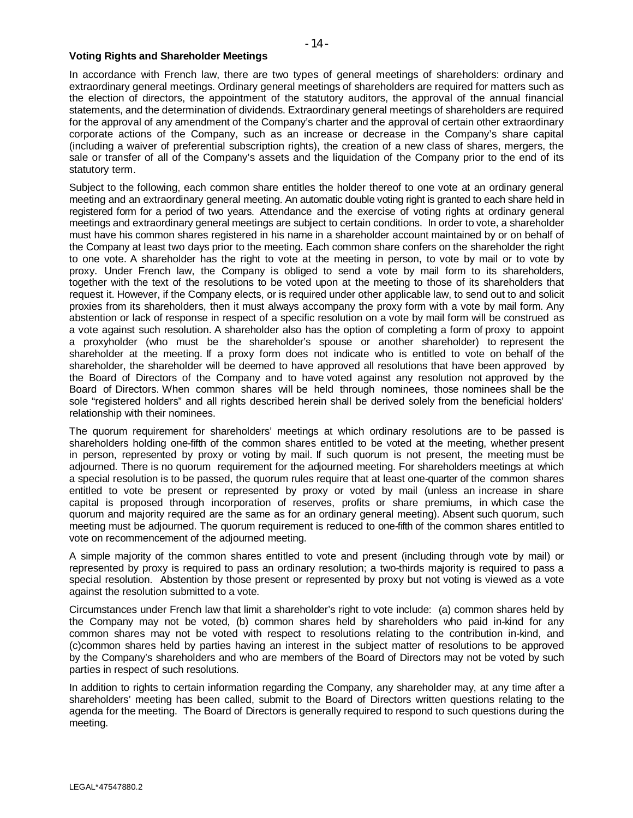## **Voting Rights and Shareholder Meetings**

In accordance with French law, there are two types of general meetings of shareholders: ordinary and extraordinary general meetings. Ordinary general meetings of shareholders are required for matters such as the election of directors, the appointment of the statutory auditors, the approval of the annual financial statements, and the determination of dividends. Extraordinary general meetings of shareholders are required for the approval of any amendment of the Company's charter and the approval of certain other extraordinary corporate actions of the Company, such as an increase or decrease in the Company's share capital (including a waiver of preferential subscription rights), the creation of a new class of shares, mergers, the sale or transfer of all of the Company's assets and the liquidation of the Company prior to the end of its statutory term.

Subject to the following, each common share entitles the holder thereof to one vote at an ordinary general meeting and an extraordinary general meeting. An automatic double voting right is granted to each share held in registered form for a period of two years. Attendance and the exercise of voting rights at ordinary general meetings and extraordinary general meetings are subject to certain conditions. In order to vote, a shareholder must have his common shares registered in his name in a shareholder account maintained by or on behalf of the Company at least two days prior to the meeting. Each common share confers on the shareholder the right to one vote. A shareholder has the right to vote at the meeting in person, to vote by mail or to vote by proxy. Under French law, the Company is obliged to send a vote by mail form to its shareholders, together with the text of the resolutions to be voted upon at the meeting to those of its shareholders that request it. However, if the Company elects, or is required under other applicable law, to send out to and solicit proxies from its shareholders, then it must always accompany the proxy form with a vote by mail form. Any abstention or lack of response in respect of a specific resolution on a vote by mail form will be construed as a vote against such resolution. A shareholder also has the option of completing a form of proxy to appoint a proxyholder (who must be the shareholder's spouse or another shareholder) to represent the shareholder at the meeting. If a proxy form does not indicate who is entitled to vote on behalf of the shareholder, the shareholder will be deemed to have approved all resolutions that have been approved by the Board of Directors of the Company and to have voted against any resolution not approved by the Board of Directors. When common shares will be held through nominees, those nominees shall be the sole "registered holders" and all rights described herein shall be derived solely from the beneficial holders' relationship with their nominees.

The quorum requirement for shareholders' meetings at which ordinary resolutions are to be passed is shareholders holding one-fifth of the common shares entitled to be voted at the meeting, whether present in person, represented by proxy or voting by mail. If such quorum is not present, the meeting must be adjourned. There is no quorum requirement for the adjourned meeting. For shareholders meetings at which a special resolution is to be passed, the quorum rules require that at least one-quarter of the common shares entitled to vote be present or represented by proxy or voted by mail (unless an increase in share capital is proposed through incorporation of reserves, profits or share premiums, in which case the quorum and majority required are the same as for an ordinary general meeting). Absent such quorum, such meeting must be adjourned. The quorum requirement is reduced to one-fifth of the common shares entitled to vote on recommencement of the adjourned meeting.

A simple majority of the common shares entitled to vote and present (including through vote by mail) or represented by proxy is required to pass an ordinary resolution; a two-thirds majority is required to pass a special resolution. Abstention by those present or represented by proxy but not voting is viewed as a vote against the resolution submitted to a vote.

Circumstances under French law that limit a shareholder's right to vote include: (a) common shares held by the Company may not be voted, (b) common shares held by shareholders who paid in-kind for any common shares may not be voted with respect to resolutions relating to the contribution in-kind, and (c)common shares held by parties having an interest in the subject matter of resolutions to be approved by the Company's shareholders and who are members of the Board of Directors may not be voted by such parties in respect of such resolutions.

In addition to rights to certain information regarding the Company, any shareholder may, at any time after a shareholders' meeting has been called, submit to the Board of Directors written questions relating to the agenda for the meeting. The Board of Directors is generally required to respond to such questions during the meeting.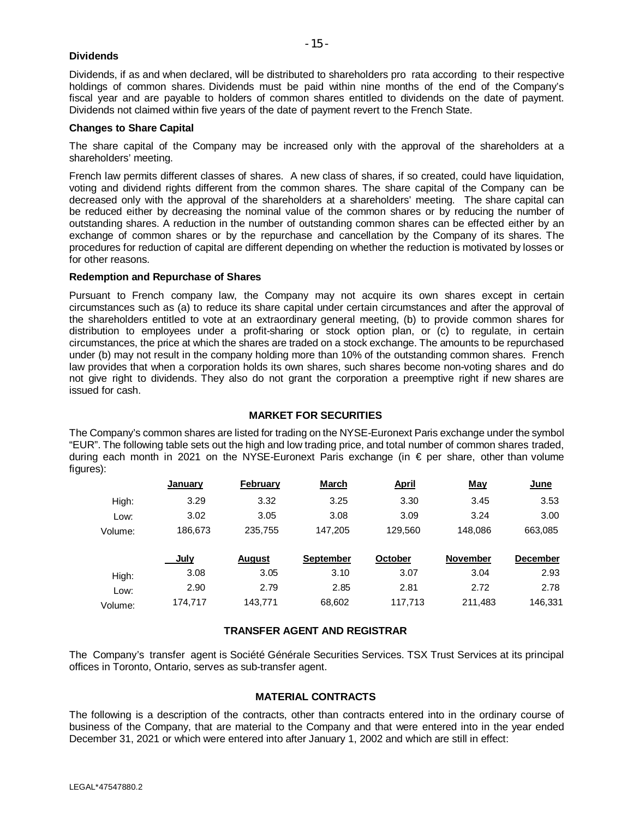## **Dividends**

Dividends, if as and when declared, will be distributed to shareholders pro rata according to their respective holdings of common shares. Dividends must be paid within nine months of the end of the Company's fiscal year and are payable to holders of common shares entitled to dividends on the date of payment. Dividends not claimed within five years of the date of payment revert to the French State.

# **Changes to Share Capital**

The share capital of the Company may be increased only with the approval of the shareholders at a shareholders' meeting.

French law permits different classes of shares. A new class of shares, if so created, could have liquidation, voting and dividend rights different from the common shares. The share capital of the Company can be decreased only with the approval of the shareholders at a shareholders' meeting. The share capital can be reduced either by decreasing the nominal value of the common shares or by reducing the number of outstanding shares. A reduction in the number of outstanding common shares can be effected either by an exchange of common shares or by the repurchase and cancellation by the Company of its shares. The procedures for reduction of capital are different depending on whether the reduction is motivated by losses or for other reasons.

# **Redemption and Repurchase of Shares**

Pursuant to French company law, the Company may not acquire its own shares except in certain circumstances such as (a) to reduce its share capital under certain circumstances and after the approval of the shareholders entitled to vote at an extraordinary general meeting, (b) to provide common shares for distribution to employees under a profit-sharing or stock option plan, or (c) to regulate, in certain circumstances, the price at which the shares are traded on a stock exchange. The amounts to be repurchased under (b) may not result in the company holding more than 10% of the outstanding common shares. French law provides that when a corporation holds its own shares, such shares become non-voting shares and do not give right to dividends. They also do not grant the corporation a preemptive right if new shares are issued for cash.

# **MARKET FOR SECURITIES**

The Company's common shares are listed for trading on the NYSE-Euronext Paris exchange under the symbol "EUR". The following table sets out the high and low trading price, and total number of common shares traded, during each month in 2021 on the NYSE-Euronext Paris exchange (in € per share, other than volume figures):

|         | January | February      | <b>March</b>     | <u>April</u>   | <b>May</b>      | <u>June</u>     |
|---------|---------|---------------|------------------|----------------|-----------------|-----------------|
| High:   | 3.29    | 3.32          | 3.25             | 3.30           | 3.45            | 3.53            |
| Low:    | 3.02    | 3.05          | 3.08             | 3.09           | 3.24            | 3.00            |
| Volume: | 186,673 | 235,755       | 147,205          | 129,560        | 148,086         | 663,085         |
|         | July    | <b>August</b> | <b>September</b> | <b>October</b> | <b>November</b> | <b>December</b> |
| High:   | 3.08    | 3.05          | 3.10             | 3.07           | 3.04            | 2.93            |
|         |         |               |                  |                |                 |                 |
| Low:    | 2.90    | 2.79          | 2.85             | 2.81           | 2.72            | 2.78            |

# **TRANSFER AGENT AND REGISTRAR**

The Company's transfer agent is Société Générale Securities Services. TSX Trust Services at its principal offices in Toronto, Ontario, serves as sub-transfer agent.

# **MATERIAL CONTRACTS**

The following is a description of the contracts, other than contracts entered into in the ordinary course of business of the Company, that are material to the Company and that were entered into in the year ended December 31, 2021 or which were entered into after January 1, 2002 and which are still in effect: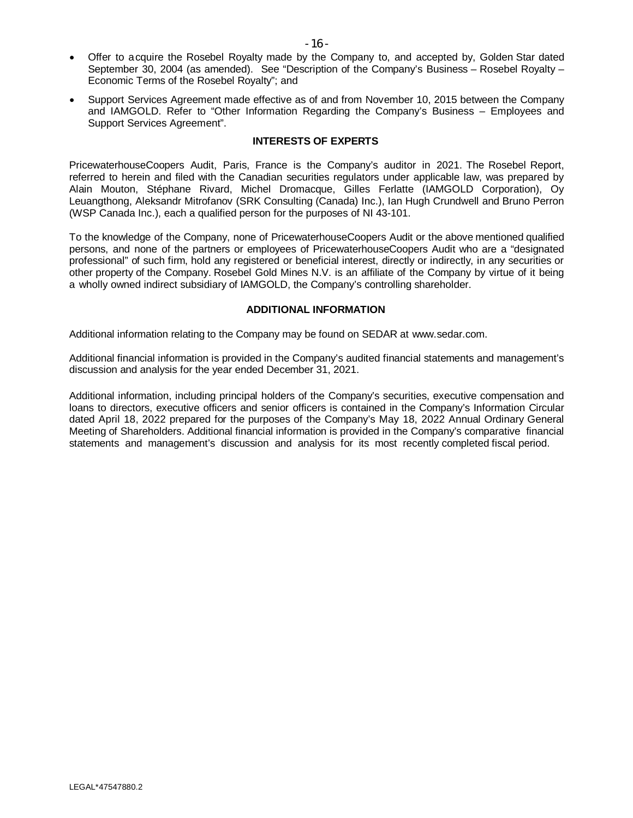- · Offer to acquire the Rosebel Royalty made by the Company to, and accepted by, Golden Star dated September 30, 2004 (as amended). See "Description of the Company's Business – Rosebel Royalty – Economic Terms of the Rosebel Royalty"; and
- · Support Services Agreement made effective as of and from November 10, 2015 between the Company and IAMGOLD. Refer to "Other Information Regarding the Company's Business – Employees and Support Services Agreement".

## **INTERESTS OF EXPERTS**

PricewaterhouseCoopers Audit, Paris, France is the Company's auditor in 2021. The Rosebel Report, referred to herein and filed with the Canadian securities regulators under applicable law, was prepared by Alain Mouton, Stéphane Rivard, Michel Dromacque, Gilles Ferlatte (IAMGOLD Corporation), Oy Leuangthong, Aleksandr Mitrofanov (SRK Consulting (Canada) Inc.), Ian Hugh Crundwell and Bruno Perron (WSP Canada Inc.), each a qualified person for the purposes of NI 43-101.

To the knowledge of the Company, none of PricewaterhouseCoopers Audit or the above mentioned qualified persons, and none of the partners or employees of PricewaterhouseCoopers Audit who are a "designated professional" of such firm, hold any registered or beneficial interest, directly or indirectly, in any securities or other property of the Company. Rosebel Gold Mines N.V. is an affiliate of the Company by virtue of it being a wholly owned indirect subsidiary of IAMGOLD, the Company's controlling shareholder.

# **ADDITIONAL INFORMATION**

Additional information relating to the Company may be found on SEDAR at [www.sedar.com.](http://www.sedar.com/)

Additional financial information is provided in the Company's audited financial statements and management's discussion and analysis for the year ended December 31, 2021.

Additional information, including principal holders of the Company's securities, executive compensation and loans to directors, executive officers and senior officers is contained in the Company's Information Circular dated April 18, 2022 prepared for the purposes of the Company's May 18, 2022 Annual Ordinary General Meeting of Shareholders. Additional financial information is provided in the Company's comparative financial statements and management's discussion and analysis for its most recently completed fiscal period.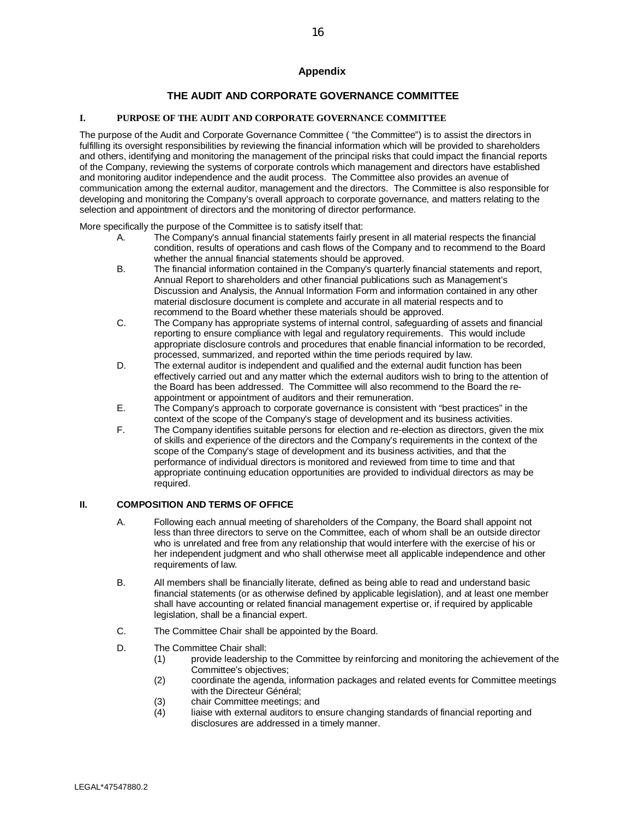# **Appendix**

# **THE AUDIT AND CORPORATE GOVERNANCE COMMITTEE**

#### **I. PURPOSE OF THE AUDIT AND CORPORATE GOVERNANCE COMMITTEE**

The purpose of the Audit and Corporate Governance Committee ("the Committee") is to assist the directors in fulfilling its oversight responsibilities by reviewing the financial information which will be provided to shareholders and others, identifying and monitoring the management of the principal risks that could impact the financial reports of the Company, reviewing the systems of corporate controls which management and directors have established and monitoring auditor independence and the audit process. The Committee also provides an avenue of communication among the external auditor, management and the directors. The Committee is also responsible for developing and monitoring the Company's overall approach to corporate governance, and matters relating to the selection and appointment of directors and the monitoring of director performance.

More specifically the purpose of the Committee is to satisfy itself that:

- A. The Company's annual financial statements fairly present in all material respects the financial condition, results of operations and cash flows of the Company and to recommend to the Board whether the annual financial statements should be approved.
- B. The financial information contained in the Company's quarterly financial statements and report, Annual Report to shareholders and other financial publications such as Management's Discussion and Analysis, the Annual Information Form and information contained in any other material disclosure document is complete and accurate in all material respects and to recommend to the Board whether these materials should be approved.
- C. The Company has appropriate systems of internal control, safeguarding of assets and financial reporting to ensure compliance with legal and regulatory requirements. This would include appropriate disclosure controls and procedures that enable financial information to be recorded, processed, summarized, and reported within the time periods required by law.
- D. The external auditor is independent and qualified and the external audit function has been effectively carried out and any matter which the external auditors wish to bring to the attention of the Board has been addressed. The Committee will also recommend to the Board the reappointment or appointment of auditors and their remuneration.
- E. The Company's approach to corporate governance is consistent with "best practices" in the context of the scope of the Company's stage of development and its business activities.
- F. The Company identifies suitable persons for election and re-election as directors, given the mix of skills and experience of the directors and the Company's requirements in the context of the scope of the Company's stage of development and its business activities, and that the performance of individual directors is monitored and reviewed from time to time and that appropriate continuing education opportunities are provided to individual directors as may be required.

#### **II. COMPOSITION AND TERMS OF OFFICE**

- A. Following each annual meeting of shareholders of the Company, the Board shall appoint not less than three directors to serve on the Committee, each of whom shall be an outside director who is unrelated and free from any relationship that would interfere with the exercise of his or her independent judgment and who shall otherwise meet all applicable independence and other requirements of law.
- B. All members shall be financially literate, defined as being able to read and understand basic financial statements (or as otherwise defined by applicable legislation), and at least one member shall have accounting or related financial management expertise or, if required by applicable legislation, shall be a financial expert.
- C. The Committee Chair shall be appointed by the Board.
- D. The Committee Chair shall:
	- (1) provide leadership to the Committee by reinforcing and monitoring the achievement of the Committee's objectives;
	- (2) coordinate the agenda, information packages and related events for Committee meetings with the Directeur Général;
	- (3) chair Committee meetings; and<br>(4) liaise with external auditors to e
	- liaise with external auditors to ensure changing standards of financial reporting and disclosures are addressed in a timely manner.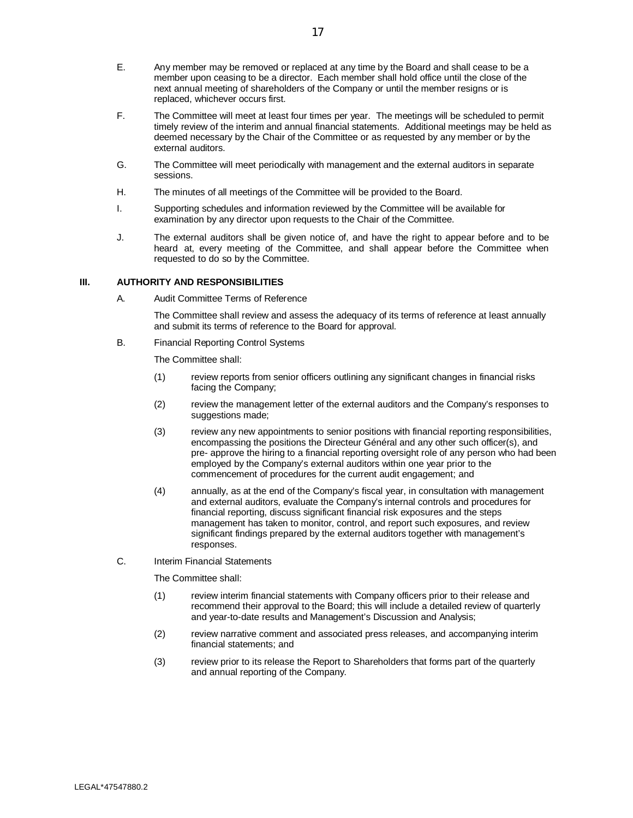- E. Any member may be removed or replaced at any time by the Board and shall cease to be a member upon ceasing to be a director. Each member shall hold office until the close of the next annual meeting of shareholders of the Company or until the member resigns or is replaced, whichever occurs first.
- F. The Committee will meet at least four times per year. The meetings will be scheduled to permit timely review of the interim and annual financial statements. Additional meetings may be held as deemed necessary by the Chair of the Committee or as requested by any member or by the external auditors.
- G. The Committee will meet periodically with management and the external auditors in separate sessions.
- H. The minutes of all meetings of the Committee will be provided to the Board.
- I. Supporting schedules and information reviewed by the Committee will be available for examination by any director upon requests to the Chair of the Committee.
- J. The external auditors shall be given notice of, and have the right to appear before and to be heard at, every meeting of the Committee, and shall appear before the Committee when requested to do so by the Committee.

#### **III. AUTHORITY AND RESPONSIBILITIES**

A. Audit Committee Terms of Reference

The Committee shall review and assess the adequacy of its terms of reference at least annually and submit its terms of reference to the Board for approval.

B. Financial Reporting Control Systems

The Committee shall:

- (1) review reports from senior officers outlining any significant changes in financial risks facing the Company;
- (2) review the management letter of the external auditors and the Company's responses to suggestions made;
- (3) review any new appointments to senior positions with financial reporting responsibilities, encompassing the positions the Directeur Général and any other such officer(s), and pre- approve the hiring to a financial reporting oversight role of any person who had been employed by the Company's external auditors within one year prior to the commencement of procedures for the current audit engagement; and
- (4) annually, as at the end of the Company's fiscal year, in consultation with management and external auditors, evaluate the Company's internal controls and procedures for financial reporting, discuss significant financial risk exposures and the steps management has taken to monitor, control, and report such exposures, and review significant findings prepared by the external auditors together with management's responses.
- C. Interim Financial Statements

The Committee shall:

- (1) review interim financial statements with Company officers prior to their release and recommend their approval to the Board; this will include a detailed review of quarterly and year-to-date results and Management's Discussion and Analysis;
- (2) review narrative comment and associated press releases, and accompanying interim financial statements; and
- (3) review prior to its release the Report to Shareholders that forms part of the quarterly and annual reporting of the Company.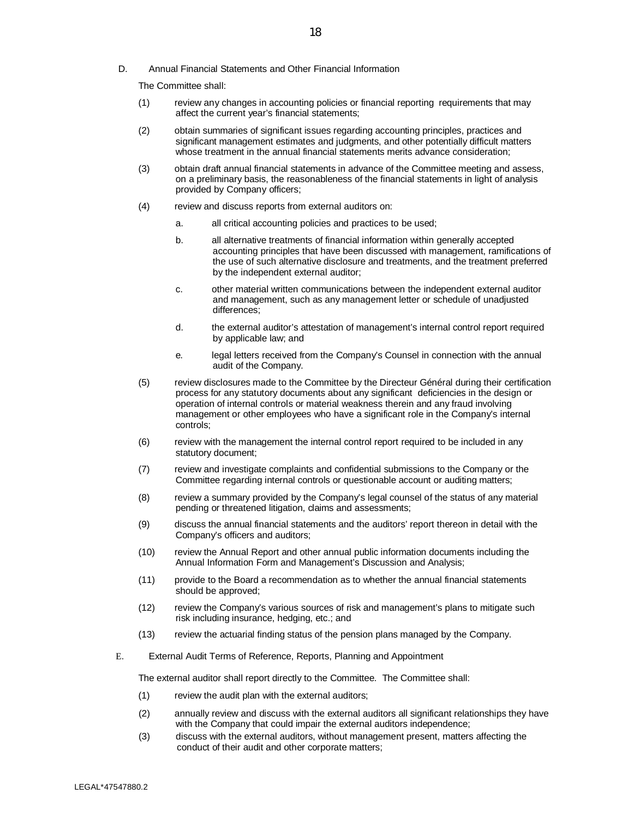D. Annual Financial Statements and Other Financial Information

The Committee shall:

- (1) review any changes in accounting policies or financial reporting requirements that may affect the current year's financial statements;
- (2) obtain summaries of significant issues regarding accounting principles, practices and significant management estimates and judgments, and other potentially difficult matters whose treatment in the annual financial statements merits advance consideration;
- (3) obtain draft annual financial statements in advance of the Committee meeting and assess, on a preliminary basis, the reasonableness of the financial statements in light of analysis provided by Company officers;
- (4) review and discuss reports from external auditors on:
	- a. all critical accounting policies and practices to be used;
	- b. all alternative treatments of financial information within generally accepted accounting principles that have been discussed with management, ramifications of the use of such alternative disclosure and treatments, and the treatment preferred by the independent external auditor;
	- c. other material written communications between the independent external auditor and management, such as any management letter or schedule of unadjusted differences;
	- d. the external auditor's attestation of management's internal control report required by applicable law; and
	- e. legal letters received from the Company's Counsel in connection with the annual audit of the Company.
- (5) review disclosures made to the Committee by the Directeur Général during their certification process for any statutory documents about any significant deficiencies in the design or operation of internal controls or material weakness therein and any fraud involving management or other employees who have a significant role in the Company's internal controls;
- (6) review with the management the internal control report required to be included in any statutory document;
- (7) review and investigate complaints and confidential submissions to the Company or the Committee regarding internal controls or questionable account or auditing matters;
- (8) review a summary provided by the Company's legal counsel of the status of any material pending or threatened litigation, claims and assessments;
- (9) discuss the annual financial statements and the auditors' report thereon in detail with the Company's officers and auditors;
- (10) review the Annual Report and other annual public information documents including the Annual Information Form and Management's Discussion and Analysis;
- (11) provide to the Board a recommendation as to whether the annual financial statements should be approved;
- (12) review the Company's various sources of risk and management's plans to mitigate such risk including insurance, hedging, etc.; and
- (13) review the actuarial finding status of the pension plans managed by the Company.
- E. External Audit Terms of Reference, Reports, Planning and Appointment

The external auditor shall report directly to the Committee. The Committee shall:

- (1) review the audit plan with the external auditors;
- (2) annually review and discuss with the external auditors all significant relationships they have with the Company that could impair the external auditors independence;
- (3) discuss with the external auditors, without management present, matters affecting the conduct of their audit and other corporate matters;